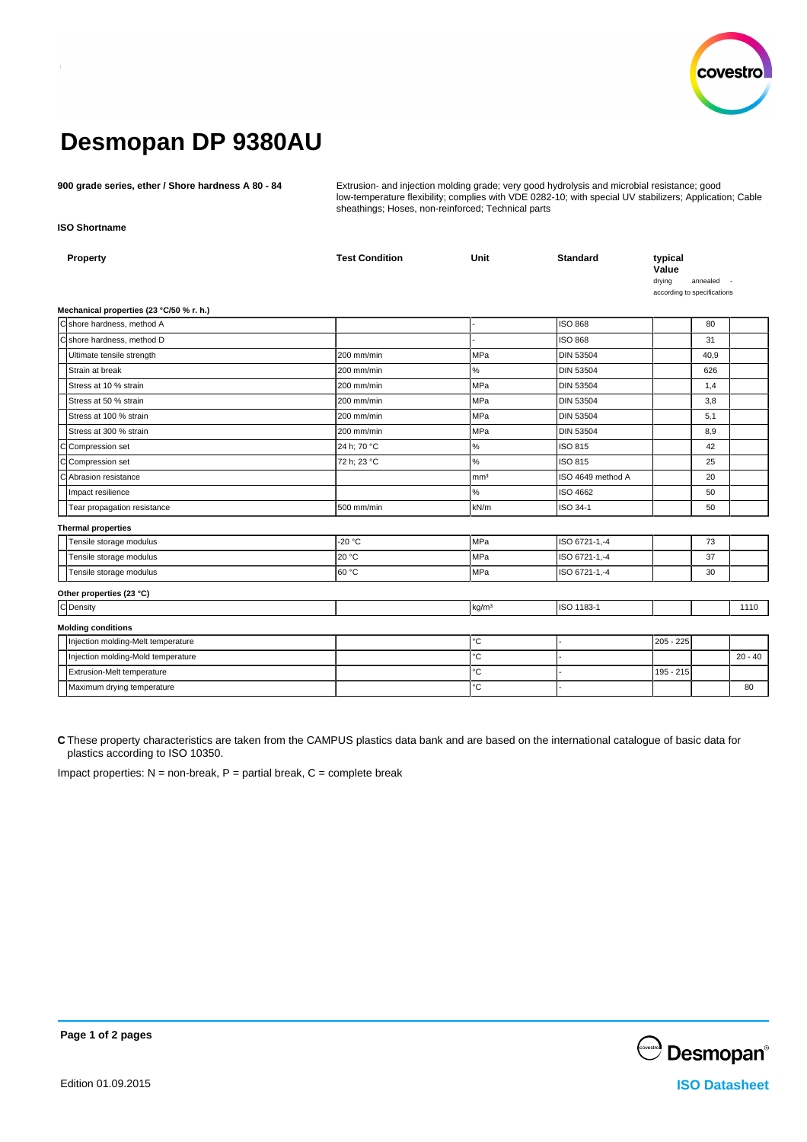

# **Desmopan DP 9380AU**

**900 grade series, ether / Shore hardness A 80 - 84** Extrusion- and injection molding grade; very good hydrolysis and microbial resistance; good low-temperature flexibility; complies with VDE 0282-10; with special UV stabilizers; Application; Cable sheathings; Hoses, non-reinforced; Technical parts

**ISO Shortname**

| Property                                 | <b>Test Condition</b> | <b>Unit</b>       | <b>Standard</b>   | typical<br>Value<br>drying<br>according to specifications | annealed |           |
|------------------------------------------|-----------------------|-------------------|-------------------|-----------------------------------------------------------|----------|-----------|
| Mechanical properties (23 °C/50 % r. h.) |                       |                   |                   |                                                           |          |           |
| C shore hardness, method A               |                       |                   | <b>ISO 868</b>    |                                                           | 80       |           |
| C shore hardness, method D               |                       |                   | <b>ISO 868</b>    |                                                           | 31       |           |
| Ultimate tensile strength                | 200 mm/min            | <b>MPa</b>        | <b>DIN 53504</b>  |                                                           | 40,9     |           |
| Strain at break                          | 200 mm/min            | $\%$              | <b>DIN 53504</b>  |                                                           | 626      |           |
| Stress at 10 % strain                    | 200 mm/min            | <b>MPa</b>        | <b>DIN 53504</b>  |                                                           | 1,4      |           |
| Stress at 50 % strain                    | 200 mm/min            | <b>MPa</b>        | <b>DIN 53504</b>  |                                                           | 3,8      |           |
| Stress at 100 % strain                   | 200 mm/min            | <b>MPa</b>        | <b>DIN 53504</b>  |                                                           | 5,1      |           |
| Stress at 300 % strain                   | 200 mm/min            | <b>MPa</b>        | DIN 53504         |                                                           | 8,9      |           |
| C Compression set                        | 24 h; 70 °C           | $\%$              | ISO 815           |                                                           | 42       |           |
| CCompression set                         | 72 h; 23 °C           | $\%$              | ISO 815           |                                                           | 25       |           |
| C Abrasion resistance                    |                       | mm <sup>3</sup>   | ISO 4649 method A |                                                           | 20       |           |
| Impact resilience                        |                       | $\%$              | ISO 4662          |                                                           | 50       |           |
| Tear propagation resistance              | 500 mm/min            | kN/m              | ISO 34-1          |                                                           | 50       |           |
| <b>Thermal properties</b>                |                       |                   |                   |                                                           |          |           |
| Tensile storage modulus                  | $-20 °C$              | MPa               | ISO 6721-1,-4     |                                                           | 73       |           |
| Tensile storage modulus                  | 20 °C                 | <b>MPa</b>        | ISO 6721-1,-4     |                                                           | 37       |           |
| Tensile storage modulus                  | 60 °C                 | <b>MPa</b>        | ISO 6721-1,-4     |                                                           | 30       |           |
| Other properties (23 °C)                 |                       |                   |                   |                                                           |          |           |
| C Density                                |                       | kg/m <sup>3</sup> | ISO 1183-1        |                                                           |          | 1110      |
| <b>Molding conditions</b>                |                       |                   |                   |                                                           |          |           |
| Injection molding-Melt temperature       |                       | $^{\circ}{\rm C}$ |                   | 205 - 225                                                 |          |           |
| Injection molding-Mold temperature       |                       | °C                |                   |                                                           |          | $20 - 40$ |
| Extrusion-Melt temperature               |                       | °C                |                   | 195 - 215                                                 |          |           |
| Maximum drying temperature               |                       | °C                |                   |                                                           |          | 80        |
|                                          |                       |                   |                   |                                                           |          |           |

**C** These property characteristics are taken from the CAMPUS plastics data bank and are based on the international catalogue of basic data for plastics according to ISO 10350.

Impact properties:  $N =$  non-break,  $P =$  partial break,  $C =$  complete break